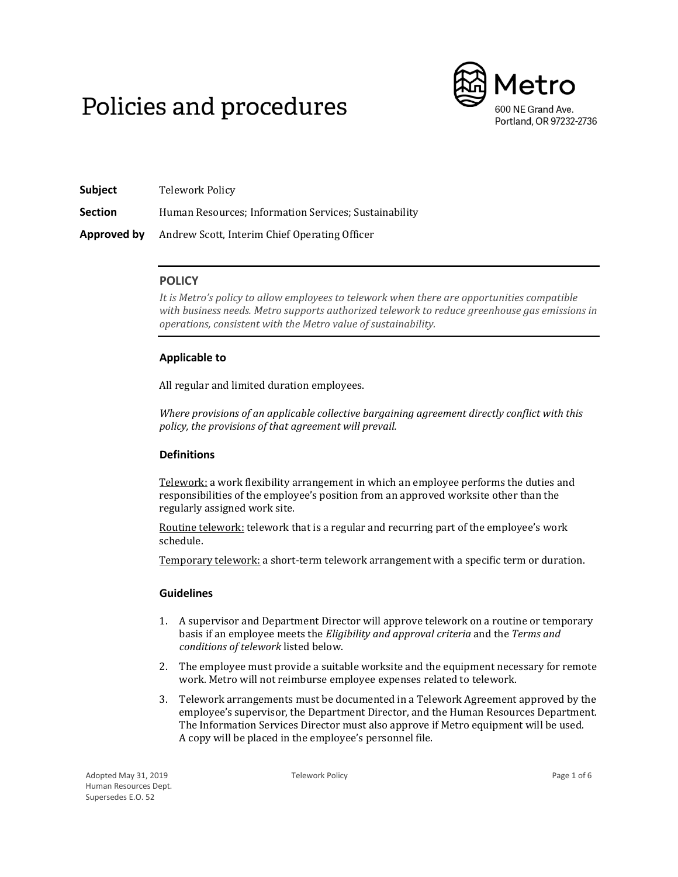# Policies and procedures



| Subject        | Telework Policy                                       |
|----------------|-------------------------------------------------------|
| <b>Section</b> | Human Resources: Information Services: Sustainability |
| Approved by    | Andrew Scott, Interim Chief Operating Officer         |

# **POLICY**

*It is Metro's policy to allow employees to telework when there are opportunities compatible with business needs. Metro supports authorized telework to reduce greenhouse gas emissions in operations, consistent with the Metro value of sustainability.* 

# **Applicable to**

All regular and limited duration employees.

*Where provisions of an applicable collective bargaining agreement directly conflict with this policy, the provisions of that agreement will prevail.*

# **Definitions**

Telework: a work flexibility arrangement in which an employee performs the duties and responsibilities of the employee's position from an approved worksite other than the regularly assigned work site.

Routine telework: telework that is a regular and recurring part of the employee's work schedule.

Temporary telework: a short-term telework arrangement with a specific term or duration.

# **Guidelines**

- 1. A supervisor and Department Director will approve telework on a routine or temporary basis if an employee meets the *Eligibility and approval criteria* and the *Terms and conditions of telework* listed below.
- 2. The employee must provide a suitable worksite and the equipment necessary for remote work. Metro will not reimburse employee expenses related to telework.
- 3. Telework arrangements must be documented in a Telework Agreement approved by the employee's supervisor, the Department Director, and the Human Resources Department. The Information Services Director must also approve if Metro equipment will be used. A copy will be placed in the employee's personnel file.

Adopted May 31, 2019 Human Resources Dept. Supersedes E.O. 52

Telework Policy **Page 1 of 6**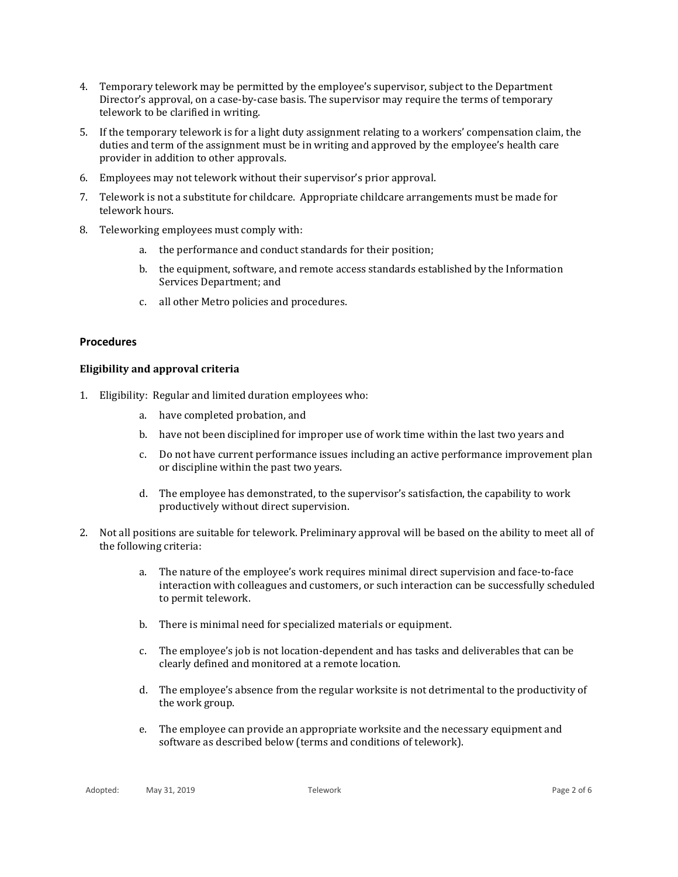- 4. Temporary telework may be permitted by the employee's supervisor, subject to the Department Director's approval, on a case-by-case basis. The supervisor may require the terms of temporary telework to be clarified in writing.
- 5. If the temporary telework is for a light duty assignment relating to a workers' compensation claim, the duties and term of the assignment must be in writing and approved by the employee's health care provider in addition to other approvals.
- 6. Employees may not telework without their supervisor's prior approval.
- 7. Telework is not a substitute for childcare. Appropriate childcare arrangements must be made for telework hours.
- 8. Teleworking employees must comply with:
	- a. the performance and conduct standards for their position;
	- b. the equipment, software, and remote access standards established by the Information Services Department; and
	- c. all other Metro policies and procedures.

## **Procedures**

## **Eligibility and approval criteria**

- 1. Eligibility: Regular and limited duration employees who:
	- a. have completed probation, and
	- b. have not been disciplined for improper use of work time within the last two years and
	- c. Do not have current performance issues including an active performance improvement plan or discipline within the past two years.
	- d. The employee has demonstrated, to the supervisor's satisfaction, the capability to work productively without direct supervision.
- 2. Not all positions are suitable for telework. Preliminary approval will be based on the ability to meet all of the following criteria:
	- a. The nature of the employee's work requires minimal direct supervision and face-to-face interaction with colleagues and customers, or such interaction can be successfully scheduled to permit telework.
	- b. There is minimal need for specialized materials or equipment.
	- c. The employee's job is not location-dependent and has tasks and deliverables that can be clearly defined and monitored at a remote location.
	- d. The employee's absence from the regular worksite is not detrimental to the productivity of the work group.
	- e. The employee can provide an appropriate worksite and the necessary equipment and software as described below (terms and conditions of telework).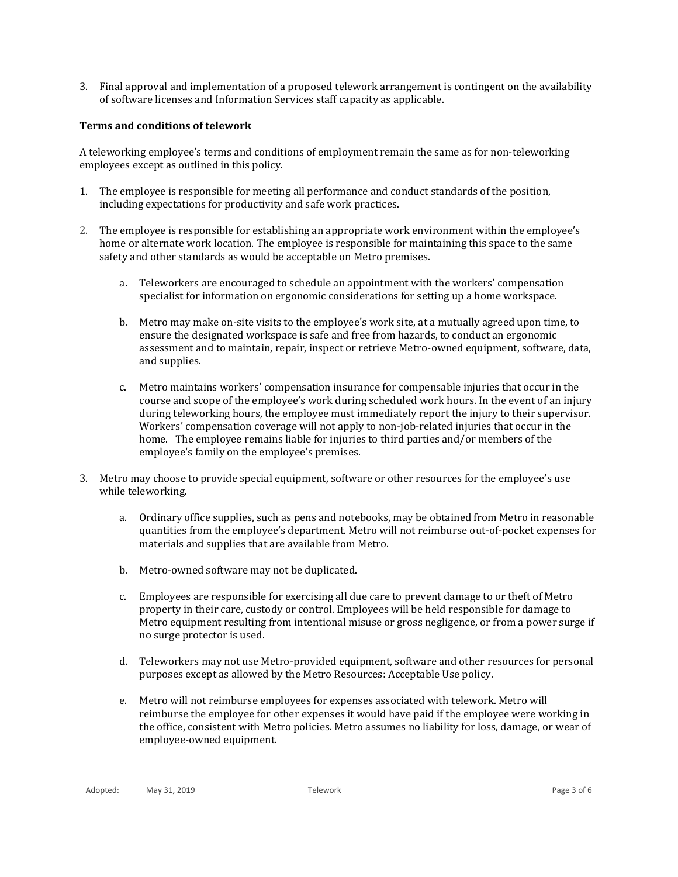3. Final approval and implementation of a proposed telework arrangement is contingent on the availability of software licenses and Information Services staff capacity as applicable.

#### **Terms and conditions of telework**

A teleworking employee's terms and conditions of employment remain the same as for non-teleworking employees except as outlined in this policy.

- 1. The employee is responsible for meeting all performance and conduct standards of the position, including expectations for productivity and safe work practices.
- 2. The employee is responsible for establishing an appropriate work environment within the employee's home or alternate work location. The employee is responsible for maintaining this space to the same safety and other standards as would be acceptable on Metro premises.
	- a. Teleworkers are encouraged to schedule an appointment with the workers' compensation specialist for information on ergonomic considerations for setting up a home workspace.
	- b. Metro may make on‐site visits to the employee's work site, at a mutually agreed upon time, to ensure the designated workspace is safe and free from hazards, to conduct an ergonomic assessment and to maintain, repair, inspect or retrieve Metro‐owned equipment, software, data, and supplies.
	- c. Metro maintains workers' compensation insurance for compensable injuries that occur in the course and scope of the employee's work during scheduled work hours. In the event of an injury during teleworking hours, the employee must immediately report the injury to their supervisor. Workers' compensation coverage will not apply to non-job-related injuries that occur in the home. The employee remains liable for injuries to third parties and/or members of the employee's family on the employee's premises.
- 3. Metro may choose to provide special equipment, software or other resources for the employee's use while teleworking.
	- a. Ordinary office supplies, such as pens and notebooks, may be obtained from Metro in reasonable quantities from the employee's department. Metro will not reimburse out-of-pocket expenses for materials and supplies that are available from Metro.
	- b. Metro-owned software may not be duplicated.
	- c. Employees are responsible for exercising all due care to prevent damage to or theft of Metro property in their care, custody or control. Employees will be held responsible for damage to Metro equipment resulting from intentional misuse or gross negligence, or from a power surge if no surge protector is used.
	- d. Teleworkers may not use Metro-provided equipment, software and other resources for personal purposes except as allowed by the Metro Resources: Acceptable Use policy.
	- e. Metro will not reimburse employees for expenses associated with telework. Metro will reimburse the employee for other expenses it would have paid if the employee were working in the office, consistent with Metro policies. Metro assumes no liability for loss, damage, or wear of employee-owned equipment.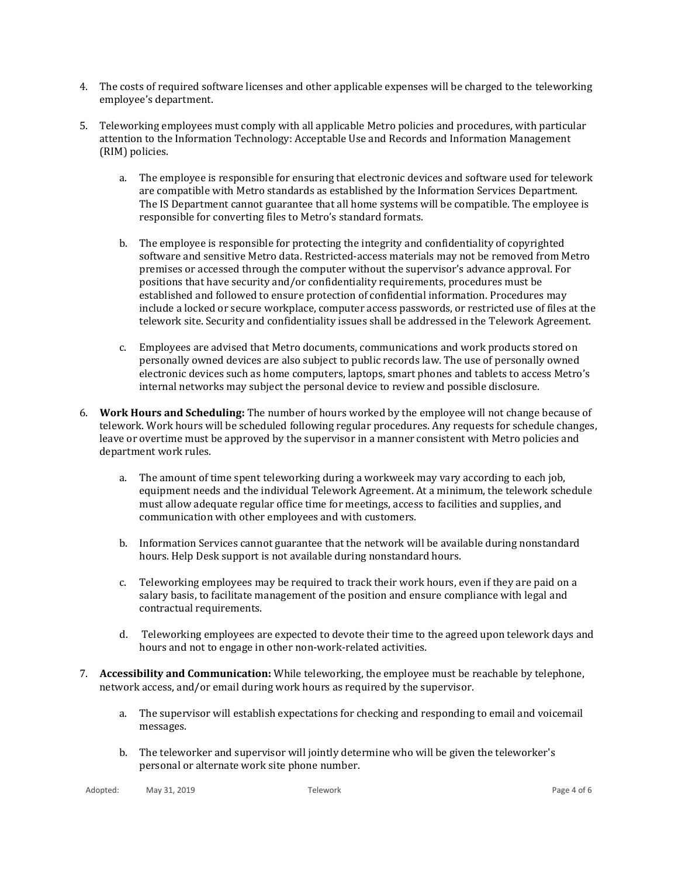- 4. The costs of required software licenses and other applicable expenses will be charged to the teleworking employee's department.
- 5. Teleworking employees must comply with all applicable Metro policies and procedures, with particular attention to the Information Technology: Acceptable Use and Records and Information Management (RIM) policies.
	- a. The employee is responsible for ensuring that electronic devices and software used for telework are compatible with Metro standards as established by the Information Services Department. The IS Department cannot guarantee that all home systems will be compatible. The employee is responsible for converting files to Metro's standard formats.
	- b. The employee is responsible for protecting the integrity and confidentiality of copyrighted software and sensitive Metro data. Restricted-access materials may not be removed from Metro premises or accessed through the computer without the supervisor's advance approval. For positions that have security and/or confidentiality requirements, procedures must be established and followed to ensure protection of confidential information. Procedures may include a locked or secure workplace, computer access passwords, or restricted use of files at the telework site. Security and confidentiality issues shall be addressed in the Telework Agreement.
	- c. Employees are advised that Metro documents, communications and work products stored on personally owned devices are also subject to public records law. The use of personally owned electronic devices such as home computers, laptops, smart phones and tablets to access Metro's internal networks may subject the personal device to review and possible disclosure.
- 6. **Work Hours and Scheduling:** The number of hours worked by the employee will not change because of telework. Work hours will be scheduled following regular procedures. Any requests for schedule changes, leave or overtime must be approved by the supervisor in a manner consistent with Metro policies and department work rules.
	- a. The amount of time spent teleworking during a workweek may vary according to each job, equipment needs and the individual Telework Agreement. At a minimum, the telework schedule must allow adequate regular office time for meetings, access to facilities and supplies, and communication with other employees and with customers.
	- b. Information Services cannot guarantee that the network will be available during nonstandard hours. Help Desk support is not available during nonstandard hours.
	- c. Teleworking employees may be required to track their work hours, even if they are paid on a salary basis, to facilitate management of the position and ensure compliance with legal and contractual requirements.
	- d. Teleworking employees are expected to devote their time to the agreed upon telework days and hours and not to engage in other non-work-related activities.
- 7. **Accessibility and Communication:** While teleworking, the employee must be reachable by telephone, network access, and/or email during work hours as required by the supervisor.
	- a. The supervisor will establish expectations for checking and responding to email and voicemail messages.
	- b. The teleworker and supervisor will jointly determine who will be given the teleworker's personal or alternate work site phone number.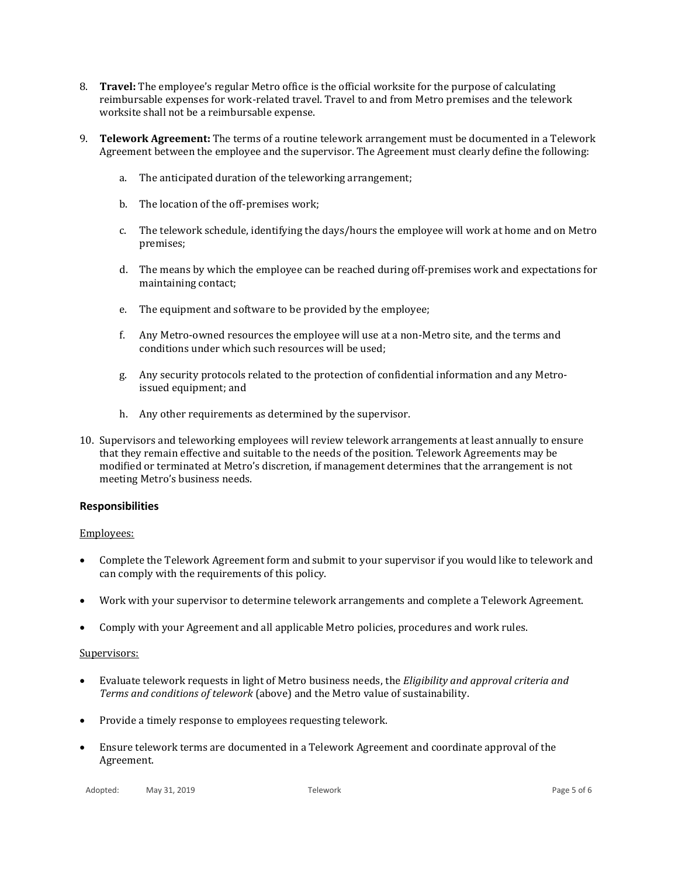- 8. **Travel:** The employee's regular Metro office is the official worksite for the purpose of calculating reimbursable expenses for work-related travel. Travel to and from Metro premises and the telework worksite shall not be a reimbursable expense.
- 9. **Telework Agreement:** The terms of a routine telework arrangement must be documented in a Telework Agreement between the employee and the supervisor. The Agreement must clearly define the following:
	- a. The anticipated duration of the teleworking arrangement;
	- b. The location of the off-premises work;
	- c. The telework schedule, identifying the days/hours the employee will work at home and on Metro premises;
	- d. The means by which the employee can be reached during off-premises work and expectations for maintaining contact;
	- e. The equipment and software to be provided by the employee;
	- f. Any Metro-owned resources the employee will use at a non-Metro site, and the terms and conditions under which such resources will be used;
	- g. Any security protocols related to the protection of confidential information and any Metroissued equipment; and
	- h. Any other requirements as determined by the supervisor.
- 10. Supervisors and teleworking employees will review telework arrangements at least annually to ensure that they remain effective and suitable to the needs of the position. Telework Agreements may be modified or terminated at Metro's discretion, if management determines that the arrangement is not meeting Metro's business needs.

## **Responsibilities**

## Employees:

- Complete the Telework Agreement form and submit to your supervisor if you would like to telework and can comply with the requirements of this policy.
- Work with your supervisor to determine telework arrangements and complete a Telework Agreement.
- Comply with your Agreement and all applicable Metro policies, procedures and work rules.

## Supervisors:

- Evaluate telework requests in light of Metro business needs, the *Eligibility and approval criteria and Terms and conditions of telework* (above) and the Metro value of sustainability.
- Provide a timely response to employees requesting telework.
- Ensure telework terms are documented in a Telework Agreement and coordinate approval of the Agreement.